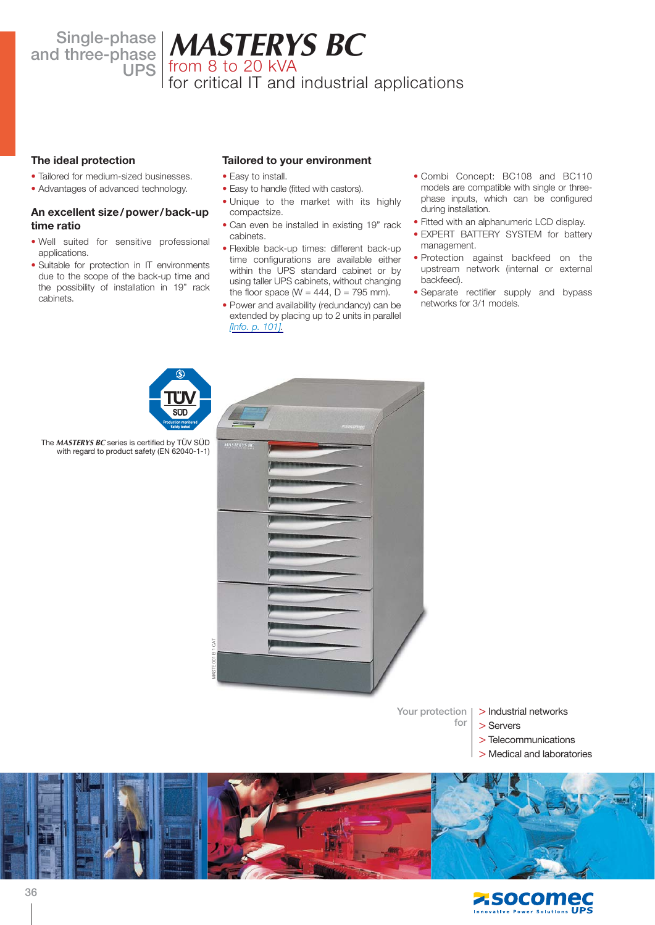**Single-phase** 

# **and three-phase MASTERYS BC UPS** from 8 to 20 kVA

for critical IT and industrial applications

## **The ideal protection**

- Tailored for medium-sized businesses.
- Advantages of advanced technology.

## **An excellent size/power/back-up time ratio**

- Well suited for sensitive professional applications.
- Suitable for protection in IT environments due to the scope of the back-up time and the possibility of installation in 19" rack cabinets.

# **Tailored to your environment**

- Easy to install.
- Easy to handle (fitted with castors).
- Unique to the market with its highly compactsize.
- Can even be installed in existing 19" rack cabinets.
- Flexible back-up times: different back-up time configurations are available either within the UPS standard cabinet or by using taller UPS cabinets, without changing the floor space ( $W = 444$ ,  $D = 795$  mm).
- Power and availability (redundancy) can be extended by placing up to 2 units in parallel *[[Info. p. 101\].](http://www.socomec.fr/webdav/site/Socomec/shared/UPS/PDF_catalogue/dcg_84043_Techno.pdf)*
- Combi Concept: BC108 and BC110 models are compatible with single or threephase inputs, which can be configured during installation.
- Fitted with an alphanumeric LCD display.
- EXPERT BATTERY SYSTEM for battery management.
- Protection against backfeed on the upstream network (internal or external backfeed).
- Separate rectifier supply and bypass networks for 3/1 models.



**Your protection**

**for**

- > Industrial networks
- > Servers
- > Telecommunications
- > Medical and laboratories